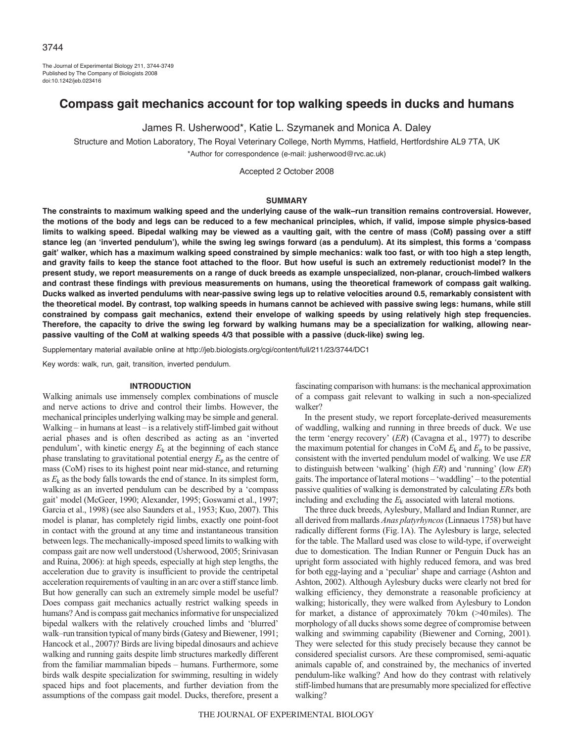The Journal of Experimental Biology 211, 3744-3749 Published by The Company of Biologists 2008 doi:10.1242/jeb.023416

# **Compass gait mechanics account for top walking speeds in ducks and humans**

James R. Usherwood\*, Katie L. Szymanek and Monica A. Daley

Structure and Motion Laboratory, The Royal Veterinary College, North Mymms, Hatfield, Hertfordshire AL9 7TA, UK \*Author for correspondence (e-mail: jusherwood@rvc.ac.uk)

Accepted 2 October 2008

#### **SUMMARY**

**The constraints to maximum walking speed and the underlying cause of the walk–run transition remains controversial. However, the motions of the body and legs can be reduced to a few mechanical principles, which, if valid, impose simple physics-based limits to walking speed. Bipedal walking may be viewed as a vaulting gait, with the centre of mass (CoM) passing over a stiff stance leg (an ʻinverted pendulum'), while the swing leg swings forward (as a pendulum). At its simplest, this forms a ʻcompass gait' walker, which has a maximum walking speed constrained by simple mechanics: walk too fast, or with too high a step length, and gravity fails to keep the stance foot attached to the floor. But how useful is such an extremely reductionist model? In the present study, we report measurements on a range of duck breeds as example unspecialized, non-planar, crouch-limbed walkers and contrast these findings with previous measurements on humans, using the theoretical framework of compass gait walking. Ducks walked as inverted pendulums with near-passive swing legs up to relative velocities around 0.5, remarkably consistent with the theoretical model. By contrast, top walking speeds in humans cannot be achieved with passive swing legs: humans, while still constrained by compass gait mechanics, extend their envelope of walking speeds by using relatively high step frequencies. Therefore, the capacity to drive the swing leg forward by walking humans may be a specialization for walking, allowing nearpassive vaulting of the CoM at walking speeds 4/3 that possible with a passive (duck-like) swing leg.**

Supplementary material available online at http://jeb.biologists.org/cgi/content/full/211/23/3744/DC1

Key words: walk, run, gait, transition, inverted pendulum.

#### **INTRODUCTION**

Walking animals use immensely complex combinations of muscle and nerve actions to drive and control their limbs. However, the mechanical principles underlying walking may be simple and general. Walking – in humans at least – is a relatively stiff-limbed gait without aerial phases and is often described as acting as an 'inverted pendulum', with kinetic energy  $E_k$  at the beginning of each stance phase translating to gravitational potential energy  $E_p$  as the centre of mass (CoM) rises to its highest point near mid-stance, and returning as  $E_k$  as the body falls towards the end of stance. In its simplest form, walking as an inverted pendulum can be described by a 'compass gait' model (McGeer, 1990; Alexander, 1995; Goswami et al., 1997; Garcia et al., 1998) (see also Saunders et al., 1953; Kuo, 2007). This model is planar, has completely rigid limbs, exactly one point-foot in contact with the ground at any time and instantaneous transition between legs. The mechanically-imposed speed limits to walking with compass gait are now well understood (Usherwood, 2005; Srinivasan and Ruina, 2006): at high speeds, especially at high step lengths, the acceleration due to gravity is insufficient to provide the centripetal acceleration requirements of vaulting in an arc over a stiff stance limb. But how generally can such an extremely simple model be useful? Does compass gait mechanics actually restrict walking speeds in humans? And is compass gait mechanics informative for unspecialized bipedal walkers with the relatively crouched limbs and 'blurred' walk–run transition typical of many birds (Gatesy and Biewener, 1991; Hancock et al., 2007)? Birds are living bipedal dinosaurs and achieve walking and running gaits despite limb structures markedly different from the familiar mammalian bipeds – humans. Furthermore, some birds walk despite specialization for swimming, resulting in widely spaced hips and foot placements, and further deviation from the assumptions of the compass gait model. Ducks, therefore, present a

fascinating comparison with humans: is the mechanical approximation of a compass gait relevant to walking in such a non-specialized walker?

In the present study, we report forceplate-derived measurements of waddling, walking and running in three breeds of duck. We use the term 'energy recovery' (*ER*) (Cavagna et al., 1977) to describe the maximum potential for changes in CoM  $E_k$  and  $E_p$  to be passive, consistent with the inverted pendulum model of walking. We use *ER* to distinguish between 'walking' (high *ER*) and 'running' (low *ER*) gaits. The importance of lateral motions – 'waddling' – to the potential passive qualities of walking is demonstrated by calculating *ER*s both including and excluding the *E*<sup>k</sup> associated with lateral motions.

The three duck breeds, Aylesbury, Mallard and Indian Runner, are all derived from mallards *Anas platyrhyncos*(Linnaeus 1758) but have radically different forms (Fig.1A). The Aylesbury is large, selected for the table. The Mallard used was close to wild-type, if overweight due to domestication. The Indian Runner or Penguin Duck has an upright form associated with highly reduced femora, and was bred for both egg-laying and a 'peculiar' shape and carriage (Ashton and Ashton, 2002). Although Aylesbury ducks were clearly not bred for walking efficiency, they demonstrate a reasonable proficiency at walking; historically, they were walked from Aylesbury to London for market, a distance of approximately 70km (>40miles). The morphology of all ducks shows some degree of compromise between walking and swimming capability (Biewener and Corning, 2001). They were selected for this study precisely because they cannot be considered specialist cursors. Are these compromised, semi-aquatic animals capable of, and constrained by, the mechanics of inverted pendulum-like walking? And how do they contrast with relatively stiff-limbed humans that are presumably more specialized for effective walking?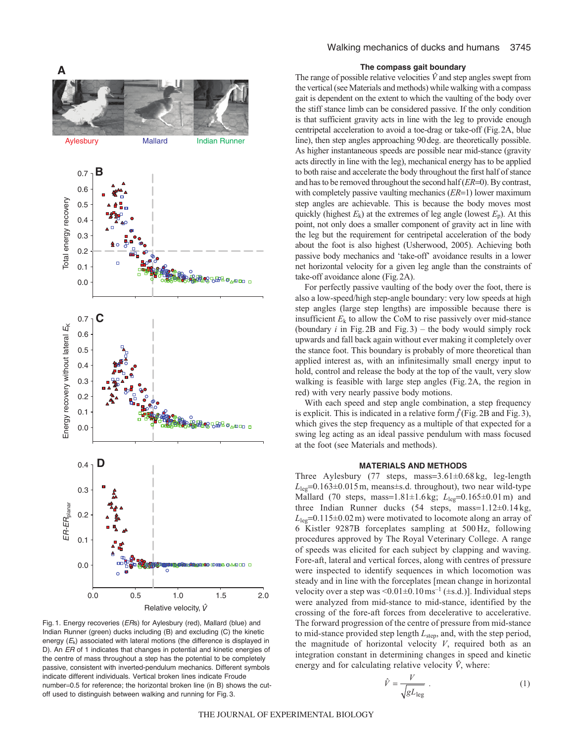

Fig. 1. Energy recoveries (ERs) for Aylesbury (red), Mallard (blue) and Indian Runner (green) ducks including (B) and excluding (C) the kinetic energy  $(E_k)$  associated with lateral motions (the difference is displayed in D). An ER of 1 indicates that changes in potential and kinetic energies of the centre of mass throughout a step has the potential to be completely passive, consistent with inverted-pendulum mechanics. Different symbols indicate different individuals. Vertical broken lines indicate Froude number=0.5 for reference; the horizontal broken line (in B) shows the cutoff used to distinguish between walking and running for Fig. 3.

## Walking mechanics of ducks and humans 3745

## **The compass gait boundary**

The range of possible relative velocities  $\hat{V}$  and step angles swept from the vertical (see Materials and methods) while walking with a compass gait is dependent on the extent to which the vaulting of the body over the stiff stance limb can be considered passive. If the only condition is that sufficient gravity acts in line with the leg to provide enough centripetal acceleration to avoid a toe-drag or take-off (Fig.2A, blue line), then step angles approaching 90deg. are theoretically possible. As higher instantaneous speeds are possible near mid-stance (gravity acts directly in line with the leg), mechanical energy has to be applied to both raise and accelerate the body throughout the first half of stance and has to be removed throughout the second half (*ER*=0). By contrast, with completely passive vaulting mechanics (*ER*=1) lower maximum step angles are achievable. This is because the body moves most quickly (highest  $E_k$ ) at the extremes of leg angle (lowest  $E_p$ ). At this point, not only does a smaller component of gravity act in line with the leg but the requirement for centripetal acceleration of the body about the foot is also highest (Usherwood, 2005). Achieving both passive body mechanics and 'take-off' avoidance results in a lower net horizontal velocity for a given leg angle than the constraints of take-off avoidance alone (Fig.2A).

For perfectly passive vaulting of the body over the foot, there is also a low-speed/high step-angle boundary: very low speeds at high step angles (large step lengths) are impossible because there is insufficient  $E_k$  to allow the CoM to rise passively over mid-stance (boundary *i* in Fig.2B and Fig.3) – the body would simply rock upwards and fall back again without ever making it completely over the stance foot. This boundary is probably of more theoretical than applied interest as, with an infinitesimally small energy input to hold, control and release the body at the top of the vault, very slow walking is feasible with large step angles (Fig.2A, the region in red) with very nearly passive body motions.

With each speed and step angle combination, a step frequency is explicit. This is indicated in a relative form  $\hat{f}$  (Fig. 2B and Fig. 3), which gives the step frequency as a multiple of that expected for a swing leg acting as an ideal passive pendulum with mass focused at the foot (see Materials and methods).

## **MATERIALS AND METHODS**

Three Aylesbury (77 steps, mass=3.61±0.68 kg, leg-length  $L_{\text{lep}}$ =0.163±0.015m, means±s.d. throughout), two near wild-type Mallard (70 steps, mass=1.81±1.6kg; *L*<sub>leg</sub>=0.165±0.01m) and three Indian Runner ducks (54 steps, mass=1.12±0.14 kg,  $L_{\text{leg}}$ =0.115±0.02 m) were motivated to locomote along an array of 6 Kistler 9287B forceplates sampling at 500 Hz, following procedures approved by The Royal Veterinary College. A range of speeds was elicited for each subject by clapping and waving. Fore-aft, lateral and vertical forces, along with centres of pressure were inspected to identify sequences in which locomotion was steady and in line with the forceplates [mean change in horizontal velocity over a step was  $\leq 0.01 \pm 0.10$  ms<sup>-1</sup> ( $\pm$ s.d.)]. Individual steps were analyzed from mid-stance to mid-stance, identified by the crossing of the fore-aft forces from decelerative to accelerative. The forward progression of the centre of pressure from mid-stance to mid-stance provided step length  $L<sub>step</sub>$ , and, with the step period, the magnitude of horizontal velocity *V*, required both as an integration constant in determining changes in speed and kinetic energy and for calculating relative velocity  $\hat{V}$ , where:

$$
\hat{V} = \frac{V}{\sqrt{gL_{\text{leg}}}} \tag{1}
$$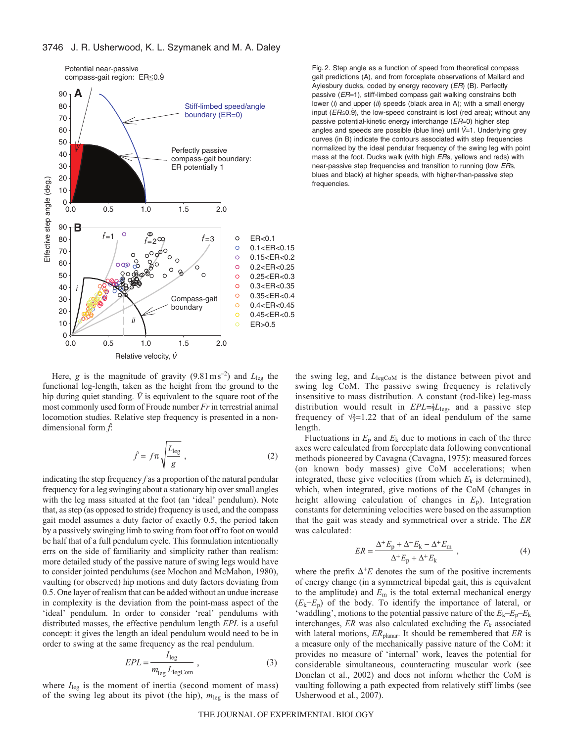

. Fig. 2. Step angle as a function of speed from theoretical compass gait predictions (A), and from forceplate observations of Mallard and Aylesbury ducks, coded by energy recovery (ER) (B). Perfectly passive (ER=1), stiff-limbed compass gait walking constrains both lower (i) and upper (ii) speeds (black area in A); with a small energy lower (i) and upper (ii) speeds (black area in A), with a small energy<br>input ( $ER \leq 0.9$ ), the low-speed constraint is lost (red area); without any passive potential-kinetic energy interchange (ER=0) higher step angles and speeds are possible (blue line) until  $\hat{V}=1$ . Underlying grey curves (in B) indicate the contours associated with step frequencies normalized by the ideal pendular frequency of the swing leg with point mass at the foot. Ducks walk (with high ERs, yellows and reds) with near-passive step frequencies and transition to running (low ERs, blues and black) at higher speeds, with higher-than-passive step frequencies.

Here, *g* is the magnitude of gravity  $(9.81 \text{ m s}^{-2})$  and  $L_{\text{leg}}$  the functional leg-length, taken as the height from the ground to the hip during quiet standing.  $\hat{V}$  is equivalent to the square root of the most commonly used form of Froude number *Fr*in terrestrial animal locomotion studies. Relative step frequency is presented in a nondimensional form *f*:

$$
\hat{f} = f\pi \sqrt{\frac{L_{\text{leg}}}{g}} \,, \tag{2}
$$

indicating the step frequency *f* as a proportion of the natural pendular frequency for a leg swinging about a stationary hip over small angles with the leg mass situated at the foot (an 'ideal' pendulum). Note that, as step (as opposed to stride) frequency is used, and the compass gait model assumes a duty factor of exactly 0.5, the period taken by a passively swinging limb to swing from foot off to foot on would be half that of a full pendulum cycle. This formulation intentionally errs on the side of familiarity and simplicity rather than realism: more detailed study of the passive nature of swing legs would have to consider jointed pendulums (see Mochon and McMahon, 1980), vaulting (or observed) hip motions and duty factors deviating from 0.5. One layer of realism that can be added without an undue increase in complexity is the deviation from the point-mass aspect of the 'ideal' pendulum. In order to consider 'real' pendulums with distributed masses, the effective pendulum length *EPL* is a useful concept: it gives the length an ideal pendulum would need to be in order to swing at the same frequency as the real pendulum.

$$
EPL = \frac{I_{\text{leg}}}{m_{\text{leg}} L_{\text{legCom}}},\tag{3}
$$

where  $I_{\text{leg}}$  is the moment of inertia (second moment of mass)<br>of the swing leg about its pivot (the hip)  $m_{\text{tot}}$  is the mass of of the swing leg about its pivot (the hip),  $m_{\text{leg}}$  is the mass of the swing leg, and  $L_{legCoM}$  is the distance between pivot and swing leg CoM. The passive swing frequency is relatively insensitive to mass distribution. A constant (rod-like) leg-mass distribution would result in  $EPL = \frac{2}{3}L_{\text{leg}}$ , and a passive step frequency of  $\sqrt{3}=1.22$  that of an ideal pendulum of the same length.

Fluctuations in  $E_p$  and  $E_k$  due to motions in each of the three axes were calculated from forceplate data following conventional methods pioneered by Cavagna (Cavagna, 1975): measured forces (on known body masses) give CoM accelerations; when integrated, these give velocities (from which  $E_k$  is determined), which, when integrated, give motions of the CoM (changes in height allowing calculation of changes in *E*p). Integration constants for determining velocities were based on the assumption that the gait was steady and symmetrical over a stride. The *ER* was calculated:

$$
ER = \frac{\Delta^+ E_p + \Delta^+ E_k - \Delta^+ E_m}{\Delta^+ E_p + \Delta^+ E_k} \tag{4}
$$

where the prefix  $\Delta^+E$  denotes the sum of the positive increments of energy change (in a symmetrical binedal gait this is equivalent of energy change (in a symmetrical bipedal gait, this is equivalent to the amplitude) and *<sup>E</sup>*<sup>m</sup> is the total external mechanical energy  $(E_k + E_p)$  of the body. To identify the importance of lateral, or 'waddling', motions to the potential passive nature of the  $E_k - E_p - E_k$ interchanges, *ER* was also calculated excluding the *E*<sup>k</sup> associated with lateral motions,  $ER_{\text{planar}}$ . It should be remembered that *ER* is a measure only of the mechanically passive nature of the CoM: it provides no measure of 'internal' work, leaves the potential for considerable simultaneous, counteracting muscular work (see Donelan et al., 2002) and does not inform whether the CoM is vaulting following a path expected from relatively stiff limbs (see Usherwood et al., 2007).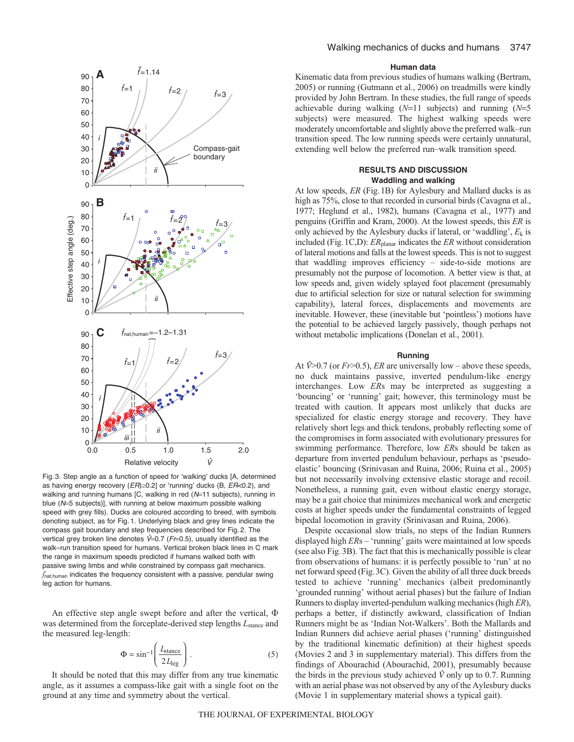

Fig. 3. Step angle as a function of speed for ʻwalking' ducks [A, determined as having energy recovery ( $ER$ ) $\geq$ 0.2] or 'running' ducks (B,  $ER$ <0.2), and walking and running humans [C, walking in red (N=11 subjects), running in blue (N=5 subjects)], with running at below maximum possible walking speed with grey fills). Ducks are coloured according to breed, with symbols denoting subject, as for Fig. 1. Underlying black and grey lines indicate the compass gait boundary and step frequencies described for Fig. 2. The vertical grey broken line denotes  $\hat{V}=0.7$  (Fr=0.5), usually identified as the walk-run transition speed for humans. Vertical broken black lines in C mark the range in maximum speeds predicted if humans walked both with passive swing limbs and while constrained by compass gait mechanics. *f*nat,human indicates the frequency consistent with a passive, pendular swing leg action for humans.

An effective step angle swept before and after the vertical,  $\Phi$ was determined from the forceplate-derived step lengths  $L_{\text{stance}}$  and the measured leg-length:

$$
\Phi = \sin^{-1} \left( \frac{L_{\text{stance}}}{2 L_{\text{leg}}} \right). \tag{5}
$$

It should be noted that this may differ from any true kinematic angle, as it assumes a compass-like gait with a single foot on the ground at any time and symmetry about the vertical.

### **Human data**

Kinematic data from previous studies of humans walking (Bertram, 2005) or running (Gutmann et al., 2006) on treadmills were kindly provided by John Bertram. In these studies, the full range of speeds achievable during walking (*N*=11 subjects) and running (*N*=<sup>5</sup> subjects) were measured. The highest walking speeds were moderately uncomfortable and slightly above the preferred walk–run transition speed. The low running speeds were certainly unnatural, extending well below the preferred run–walk transition speed.

### **RESULTS AND DISCUSSION Waddling and walking**

At low speeds, *ER* (Fig.1B) for Aylesbury and Mallard ducks is as high as 75%, close to that recorded in cursorial birds (Cavagna et al., 1977; Heglund et al., 1982), humans (Cavagna et al., 1977) and penguins (Griffin and Kram, 2000). At the lowest speeds, this *ER* is only achieved by the Aylesbury ducks if lateral, or 'waddling',  $E_k$  is included (Fig.1C,D): *ER*planar indicates the *ER* without consideration of lateral motions and falls at the lowest speeds. This is not to suggest that waddling improves efficiency – side-to-side motions are presumably not the purpose of locomotion. A better view is that, at low speeds and, given widely splayed foot placement (presumably due to artificial selection for size or natural selection for swimming capability), lateral forces, displacements and movements are inevitable. However, these (inevitable but 'pointless') motions have the potential to be achieved largely passively, though perhaps not without metabolic implications (Donelan et al., 2001).

#### **Running**

At  $\hat{V}$  >0.7 (or *Fr* > 0.5), *ER* are universally low – above these speeds, no duck maintains passive, inverted pendulum-like energy interchanges. Low *ER*s may be interpreted as suggesting a 'bouncing' or 'running' gait; however, this terminology must be treated with caution. It appears most unlikely that ducks are specialized for elastic energy storage and recovery. They have relatively short legs and thick tendons, probably reflecting some of the compromises in form associated with evolutionary pressures for swimming performance. Therefore, low *ER*s should be taken as departure from inverted pendulum behaviour, perhaps as 'pseudoelastic' bouncing (Srinivasan and Ruina, 2006; Ruina et al., 2005) but not necessarily involving extensive elastic storage and recoil. Nonetheless, a running gait, even without elastic energy storage, may be a gait choice that minimizes mechanical work and energetic costs at higher speeds under the fundamental constraints of legged bipedal locomotion in gravity (Srinivasan and Ruina, 2006).

Despite occasional slow trials, no steps of the Indian Runners displayed high *ER*s – 'running' gaits were maintained at low speeds (see also Fig.3B). The fact that this is mechanically possible is clear from observations of humans: it is perfectly possible to 'run' at no net forward speed (Fig.3C). Given the ability of all three duck breeds tested to achieve 'running' mechanics (albeit predominantly 'grounded running' without aerial phases) but the failure of Indian Runners to display inverted-pendulum walking mechanics (high *ER*), perhaps a better, if distinctly awkward, classification of Indian Runners might be as 'Indian Not-Walkers'. Both the Mallards and Indian Runners did achieve aerial phases ('running' distinguished by the traditional kinematic definition) at their highest speeds (Movies 2 and 3 in supplementary material). This differs from the findings of Abourachid (Abourachid, 2001), presumably because the birds in the previous study achieved  $\hat{V}$  only up to 0.7. Running with an aerial phase was not observed by any of the Aylesbury ducks (Movie 1 in supplementary material shows a typical gait).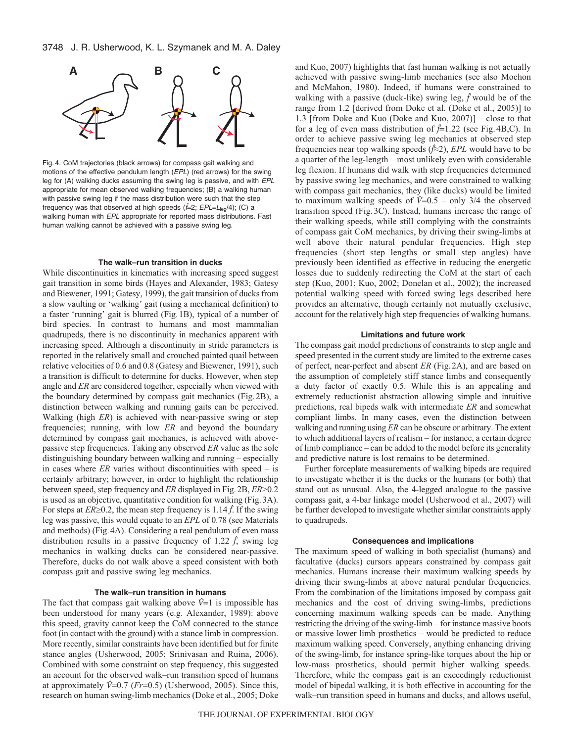

Fig. 4. CoM trajectories (black arrows) for compass gait walking and motions of the effective pendulum length (EPL) (red arrows) for the swing leg for (A) walking ducks assuming the swing leg is passive, and with EPL appropriate for mean observed walking frequencies; (B) a walking human with passive swing leg if the mass distribution were such that the step frequency was that observed at high speeds ( $\hat{f}=2$ ;  $EPL=L_{\text{leq}}/4$ ); (C) a walking human with EPL appropriate for reported mass distributions. Fast human walking cannot be achieved with a passive swing leg.

### **The walk–run transition in ducks**

While discontinuities in kinematics with increasing speed suggest gait transition in some birds (Hayes and Alexander, 1983; Gatesy and Biewener, 1991; Gatesy, 1999), the gait transition of ducks from a slow vaulting or 'walking' gait (using a mechanical definition) to a faster 'running' gait is blurred (Fig.1B), typical of a number of bird species. In contrast to humans and most mammalian quadrupeds, there is no discontinuity in mechanics apparent with increasing speed. Although a discontinuity in stride parameters is reported in the relatively small and crouched painted quail between relative velocities of 0.6 and 0.8 (Gatesy and Biewener, 1991), such a transition is difficult to determine for ducks. However, when step angle and *ER* are considered together, especially when viewed with the boundary determined by compass gait mechanics (Fig.2B), a distinction between walking and running gaits can be perceived. Walking (high *ER*) is achieved with near-passive swing or step frequencies; running, with low *ER* and beyond the boundary determined by compass gait mechanics, is achieved with abovepassive step frequencies. Taking any observed *ER* value as the sole distinguishing boundary between walking and running – especially in cases where  $ER$  varies without discontinuities with speed – is certainly arbitrary; however, in order to highlight the relationship between speed, step frequency and *ER* displayed in Fig. 2B,  $ER \geq 0.2$ is used as an objective, quantitative condition for walking (Fig.3A). For steps at  $ER \geq 0.2$ , the mean step frequency is 1.14  $\hat{f}$ . If the swing leg was passive, this would equate to an *EPL* of 0.78 (see Materials and methods) (Fig.4A). Considering a real pendulum of even mass distribution results in a passive frequency of 1.22  $\hat{f}$ , swing leg mechanics in walking ducks can be considered near-passive. Therefore, ducks do not walk above a speed consistent with both compass gait and passive swing leg mechanics.

#### **The walk–run transition in humans**

The fact that compass gait walking above  $\hat{V}=1$  is impossible has been understood for many years (e.g. Alexander, 1989): above this speed, gravity cannot keep the CoM connected to the stance foot (in contact with the ground) with a stance limb in compression. More recently, similar constraints have been identified but for finite stance angles (Usherwood, 2005; Srinivasan and Ruina, 2006). Combined with some constraint on step frequency, this suggested an account for the observed walk–run transition speed of humans at approximately  $\hat{V}=0.7$  (*Fr*=0.5) (Usherwood, 2005). Since this, research on human swing-limb mechanics (Doke et al., 2005; Doke

and Kuo, 2007) highlights that fast human walking is not actually achieved with passive swing-limb mechanics (see also Mochon and McMahon, 1980). Indeed, if humans were constrained to walking with a passive (duck-like) swing leg, *f* would be of the range from 1.2 [derived from Doke et al. (Doke et al., 2005)] to 1.3 [from Doke and Kuo (Doke and Kuo, 2007)] – close to that for a leg of even mass distribution of *f*=1.22 (see Fig.4B,C). In order to achieve passive swing leg mechanics at observed step frequencies near top walking speeds (*f*≈2), *EPL* would have to be a quarter of the leg-length – most unlikely even with considerable leg flexion. If humans did walk with step frequencies determined by passive swing leg mechanics, and were constrained to walking with compass gait mechanics, they (like ducks) would be limited to maximum walking speeds of  $\hat{V}=0.5$  – only 3/4 the observed transition speed (Fig.3C). Instead, humans increase the range of their walking speeds, while still complying with the constraints of compass gait CoM mechanics, by driving their swing-limbs at well above their natural pendular frequencies. High step frequencies (short step lengths or small step angles) have previously been identified as effective in reducing the energetic losses due to suddenly redirecting the CoM at the start of each step (Kuo, 2001; Kuo, 2002; Donelan et al., 2002); the increased potential walking speed with forced swing legs described here provides an alternative, though certainly not mutually exclusive, account for the relatively high step frequencies of walking humans.

#### **Limitations and future work**

The compass gait model predictions of constraints to step angle and speed presented in the current study are limited to the extreme cases of perfect, near-perfect and absent *ER* (Fig.2A), and are based on the assumption of completely stiff stance limbs and consequently a duty factor of exactly 0.5. While this is an appealing and extremely reductionist abstraction allowing simple and intuitive predictions, real bipeds walk with intermediate *ER* and somewhat compliant limbs. In many cases, even the distinction between walking and running using *ER* can be obscure or arbitrary. The extent to which additional layers of realism – for instance, a certain degree of limb compliance – can be added to the model before its generality and predictive nature is lost remains to be determined.

Further forceplate measurements of walking bipeds are required to investigate whether it is the ducks or the humans (or both) that stand out as unusual. Also, the 4-legged analogue to the passive compass gait, a 4-bar linkage model (Usherwood et al., 2007) will be further developed to investigate whether similar constraints apply to quadrupeds.

### **Consequences and implications**

The maximum speed of walking in both specialist (humans) and facultative (ducks) cursors appears constrained by compass gait mechanics. Humans increase their maximum walking speeds by driving their swing-limbs at above natural pendular frequencies. From the combination of the limitations imposed by compass gait mechanics and the cost of driving swing-limbs, predictions concerning maximum walking speeds can be made. Anything restricting the driving of the swing-limb – for instance massive boots or massive lower limb prosthetics – would be predicted to reduce maximum walking speed. Conversely, anything enhancing driving of the swing-limb, for instance spring-like torques about the hip or low-mass prosthetics, should permit higher walking speeds. Therefore, while the compass gait is an exceedingly reductionist model of bipedal walking, it is both effective in accounting for the walk–run transition speed in humans and ducks, and allows useful,